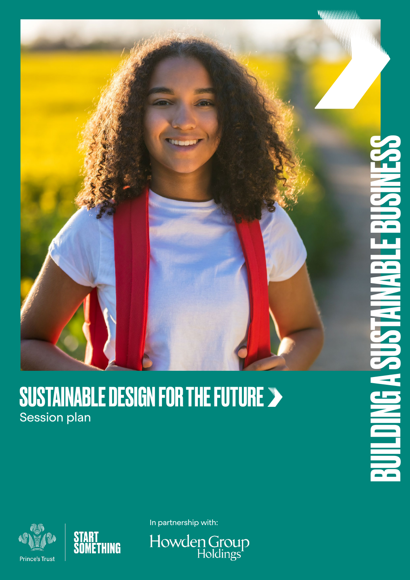### SUSTAINABLE DESIGN FOR THE FUTURE Session plan





In partnership with:

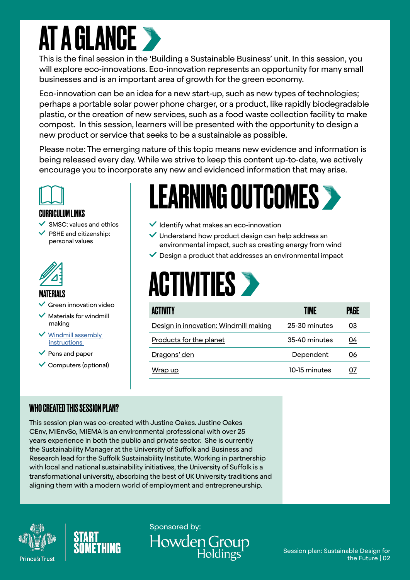### **AT A GLANCE**

This is the final session in the 'Building a Sustainable Business' unit. In this session, you will explore eco-innovations. Eco-innovation represents an opportunity for many small businesses and is an important area of growth for the green economy.

Eco-innovation can be an idea for a new start-up, such as new types of technologies; perhaps a portable solar power phone charger, or a product, like rapidly biodegradable plastic, or the creation of new services, such as a food waste collection facility to make compost. In this session, learners will be presented with the opportunity to design a new product or service that seeks to be a sustainable as possible.

Please note: The emerging nature of this topic means new evidence and information is being released every day. While we strive to keep this content up-to-date, we actively encourage you to incorporate any new and evidenced information that may arise.



#### CURRICULUM LINKS

- SMSC: values and ethics
- PSHE and citizenship: personal values



#### MATERIALS

- Green innovation video
- Materials for windmill making
- [Windmill assembly](https://www.idealhome.co.uk/diy-and-decorating/how-to-make-a-paper-windmill-easy-step-by-step-instructions-51144)  [instructions](https://www.idealhome.co.uk/diy-and-decorating/how-to-make-a-paper-windmill-easy-step-by-step-instructions-51144)
- $\vee$  Pens and paper
- $\checkmark$  Computers (optional)

### LEARNING OUTCOMES >

- $\vee$  Identify what makes an eco-innovation
- Understand how product design can help address an environmental impact, such as creating energy from wind
- $\vee$  Design a product that addresses an environmental impact

### **ACTIVITIES >**

| <b>ACTIVITY</b>                       | TIME          | PAGE |
|---------------------------------------|---------------|------|
| Design in innovation: Windmill making | 25-30 minutes | 03   |
| Products for the planet               | 35-40 minutes | 04   |
| Dragons' den                          | Dependent     | 06   |
| Wrap up                               | 10-15 minutes | 07   |

#### WHO CREATED THIS SESSION PLAN?

This session plan was co-created with Justine Oakes. Justine Oakes CEnv, MIEnvSc, MIEMA is an environmental professional with over 25 years experience in both the public and private sector. She is currently the Sustainability Manager at the University of Suffolk and Business and Research lead for the Suffolk Sustainability Institute. Working in partnership with local and national sustainability initiatives, the University of Suffolk is a transformational university, absorbing the best of UK University traditions and aligning them with a modern world of employment and entrepreneurship.





Sponsored by: Howden Group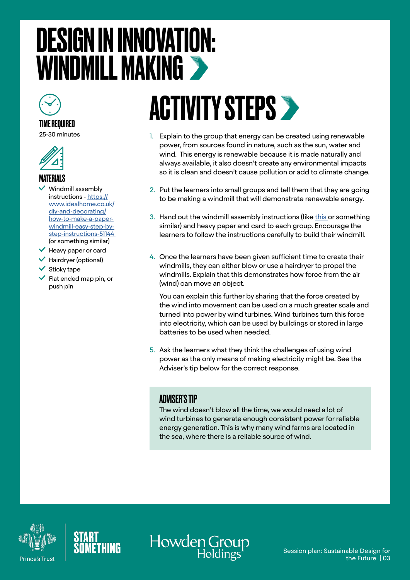### <span id="page-2-0"></span>DESIGN IN INNOVATION: WINDMILL MAKING



### TIME REQUIRED

25-30 minutes



#### MATERIALS

- Windmill assembly instructions - [https://](https://www.idealhome.co.uk/diy-and-decorating/how-to-make-a-paper-windmill-easy-step-by-step-instructions-51144 ) [www.idealhome.co.uk/](https://www.idealhome.co.uk/diy-and-decorating/how-to-make-a-paper-windmill-easy-step-by-step-instructions-51144 ) [diy-and-decorating/](https://www.idealhome.co.uk/diy-and-decorating/how-to-make-a-paper-windmill-easy-step-by-step-instructions-51144 ) [how-to-make-a-paper](https://www.idealhome.co.uk/diy-and-decorating/how-to-make-a-paper-windmill-easy-step-by-step-instructions-51144 )[windmill-easy-step-by](https://www.idealhome.co.uk/diy-and-decorating/how-to-make-a-paper-windmill-easy-step-by-step-instructions-51144 )[step-instructions-51144](https://www.idealhome.co.uk/diy-and-decorating/how-to-make-a-paper-windmill-easy-step-by-step-instructions-51144 )  (or something similar)
- $\vee$  Heavy paper or card
- $\checkmark$  Hairdryer (optional)
- $\checkmark$  Sticky tape
- Flat ended map pin, or push pin

## **ACTIVITY STEPS >**

- 1. Explain to the group that energy can be created using renewable power, from sources found in nature, such as the sun, water and wind. This energy is renewable because it is made naturally and always available, it also doesn't create any environmental impacts so it is clean and doesn't cause pollution or add to climate change.
- 2. Put the learners into small groups and tell them that they are going to be making a windmill that will demonstrate renewable energy.
- 3. Hand out the windmill assembly instructions (like [this](https://www.idealhome.co.uk/diy-and-decorating/how-to-make-a-paper-windmill-easy-step-by-step-instructions-51144) or something similar) and heavy paper and card to each group. Encourage the learners to follow the instructions carefully to build their windmill.
- 4. Once the learners have been given sufficient time to create their windmills, they can either blow or use a hairdryer to propel the windmills. Explain that this demonstrates how force from the air (wind) can move an object.

You can explain this further by sharing that the force created by the wind into movement can be used on a much greater scale and turned into power by wind turbines. Wind turbines turn this force into electricity, which can be used by buildings or stored in large batteries to be used when needed.

5. Ask the learners what they think the challenges of using wind power as the only means of making electricity might be. See the Adviser's tip below for the correct response.

#### ADVISER'S TIP

The wind doesn't blow all the time, we would need a lot of wind turbines to generate enough consistent power for reliable energy generation. This is why many wind farms are located in the sea, where there is a reliable source of wind.





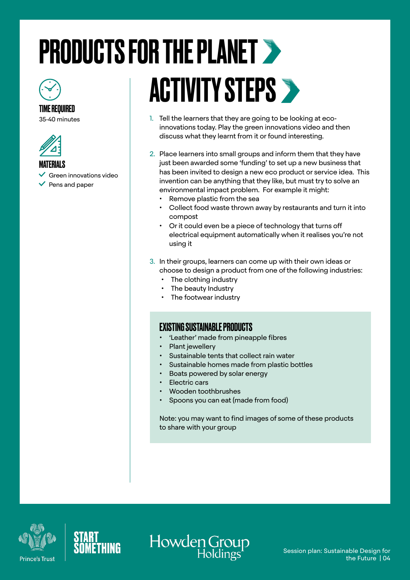# <span id="page-3-0"></span>PRODUCTS FOR THE PLANET



#### TIME REQUIRED

35-40 minutes





- $\checkmark$  Green innovations video
- $\vee$  Pens and paper

## ACTIVITY STEPS >

- 1. Tell the learners that they are going to be looking at ecoinnovations today. Play the green innovations video and then discuss what they learnt from it or found interesting.
- 2. Place learners into small groups and inform them that they have just been awarded some 'funding' to set up a new business that has been invited to design a new eco product or service idea. This invention can be anything that they like, but must try to solve an environmental impact problem. For example it might:
	- Remove plastic from the sea
	- Collect food waste thrown away by restaurants and turn it into compost
	- Or it could even be a piece of technology that turns off electrical equipment automatically when it realises you're not using it
- 3. In their groups, learners can come up with their own ideas or choose to design a product from one of the following industries:
	- The clothing industry
	- The beauty Industry
	- The footwear industry

#### EXISTING SUSTAINABLE PRODUCTS

- 'Leather' made from pineapple fibres
- Plant jewellery
- Sustainable tents that collect rain water
- Sustainable homes made from plastic bottles
- Boats powered by solar energy
- Electric cars
- Wooden toothbrushes
- Spoons you can eat (made from food)

Note: you may want to find images of some of these products to share with your group





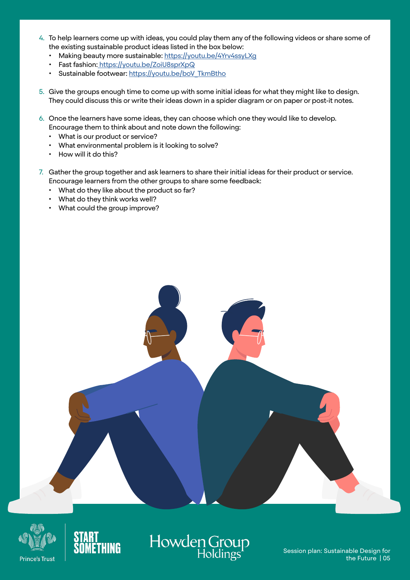- 4. To help learners come up with ideas, you could play them any of the following videos or share some of the existing sustainable product ideas listed in the box below:
	- Making beauty more sustainable: <https://youtu.be/4Yrv4ssyLXg>
	- Fast fashion[: https://youtu.be/ZoiU8sprXpQ]( https://youtu.be/ZoiU8sprXpQ)
	- Sustainable footwear: https://voutu.be/boV\_TkmBtho
- 5. Give the groups enough time to come up with some initial ideas for what they might like to design. They could discuss this or write their ideas down in a spider diagram or on paper or post-it notes.
- 6. Once the learners have some ideas, they can choose which one they would like to develop. Encourage them to think about and note down the following:
	- What is our product or service?
	- What environmental problem is it looking to solve?
	- How will it do this?
- 7. Gather the group together and ask learners to share their initial ideas for their product or service. Encourage learners from the other groups to share some feedback:
	- What do they like about the product so far?
	- What do they think works well?
	- What could the group improve?







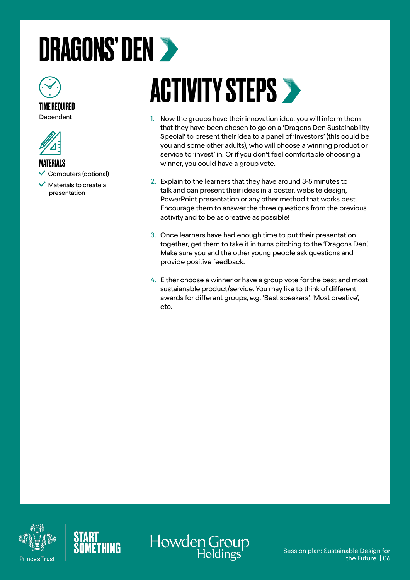### <span id="page-5-0"></span>DRAGONS' DEN



Dependent



**MATFRIALS** 

- $\checkmark$  Computers (optional)
- $\checkmark$  Materials to create a presentation

## **ACTIVITY STEPS >**

- 1. Now the groups have their innovation idea, you will inform them that they have been chosen to go on a 'Dragons Den Sustainability Special' to present their idea to a panel of 'investors' (this could be you and some other adults), who will choose a winning product or service to 'invest' in. Or if you don't feel comfortable choosing a winner, you could have a group vote.
- 2. Explain to the learners that they have around 3-5 minutes to talk and can present their ideas in a poster, website design, PowerPoint presentation or any other method that works best. Encourage them to answer the three questions from the previous activity and to be as creative as possible!
- 3. Once learners have had enough time to put their presentation together, get them to take it in turns pitching to the 'Dragons Den'. Make sure you and the other young people ask questions and provide positive feedback.
- 4. Either choose a winner or have a group vote for the best and most sustaianable product/service. You may like to think of different awards for different groups, e.g. 'Best speakers', 'Most creative', etc.